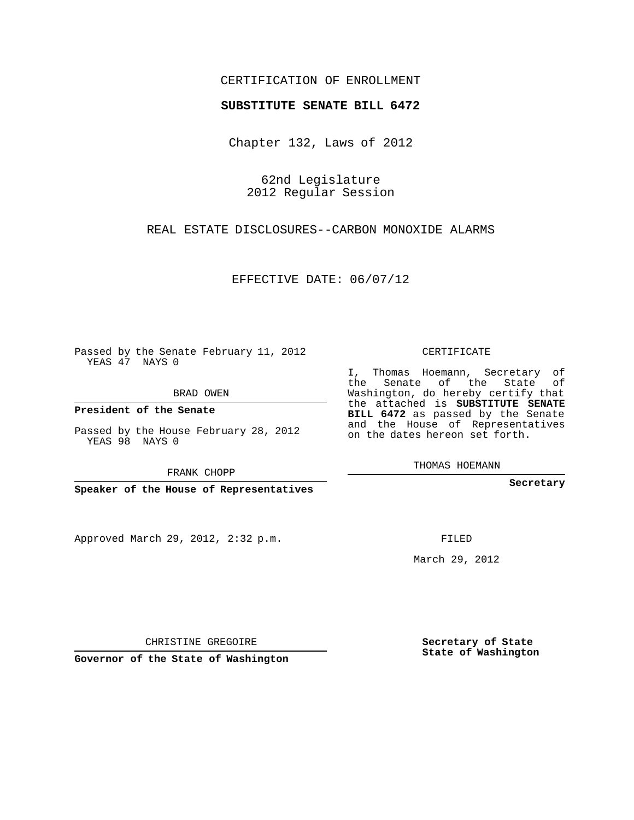## CERTIFICATION OF ENROLLMENT

#### **SUBSTITUTE SENATE BILL 6472**

Chapter 132, Laws of 2012

62nd Legislature 2012 Regular Session

REAL ESTATE DISCLOSURES--CARBON MONOXIDE ALARMS

EFFECTIVE DATE: 06/07/12

Passed by the Senate February 11, 2012 YEAS 47 NAYS 0

BRAD OWEN

**President of the Senate**

Passed by the House February 28, 2012 YEAS 98 NAYS 0

FRANK CHOPP

**Speaker of the House of Representatives**

Approved March 29, 2012, 2:32 p.m.

CERTIFICATE

I, Thomas Hoemann, Secretary of the Senate of the State of Washington, do hereby certify that the attached is **SUBSTITUTE SENATE BILL 6472** as passed by the Senate and the House of Representatives on the dates hereon set forth.

THOMAS HOEMANN

**Secretary**

FILED

March 29, 2012

CHRISTINE GREGOIRE

**Governor of the State of Washington**

**Secretary of State State of Washington**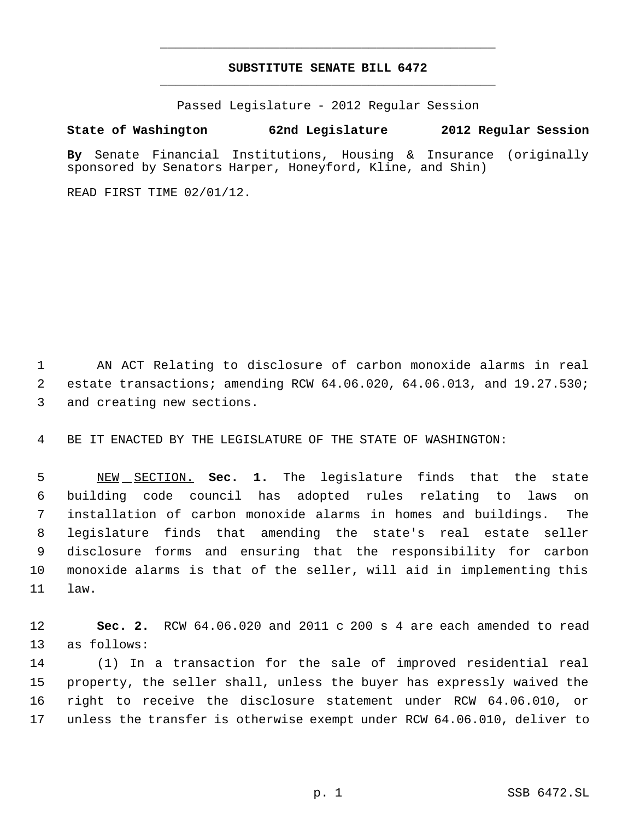# **SUBSTITUTE SENATE BILL 6472** \_\_\_\_\_\_\_\_\_\_\_\_\_\_\_\_\_\_\_\_\_\_\_\_\_\_\_\_\_\_\_\_\_\_\_\_\_\_\_\_\_\_\_\_\_

\_\_\_\_\_\_\_\_\_\_\_\_\_\_\_\_\_\_\_\_\_\_\_\_\_\_\_\_\_\_\_\_\_\_\_\_\_\_\_\_\_\_\_\_\_

Passed Legislature - 2012 Regular Session

### **State of Washington 62nd Legislature 2012 Regular Session**

**By** Senate Financial Institutions, Housing & Insurance (originally sponsored by Senators Harper, Honeyford, Kline, and Shin)

READ FIRST TIME 02/01/12.

 AN ACT Relating to disclosure of carbon monoxide alarms in real estate transactions; amending RCW 64.06.020, 64.06.013, and 19.27.530; and creating new sections.

BE IT ENACTED BY THE LEGISLATURE OF THE STATE OF WASHINGTON:

 NEW SECTION. **Sec. 1.** The legislature finds that the state building code council has adopted rules relating to laws on installation of carbon monoxide alarms in homes and buildings. The legislature finds that amending the state's real estate seller disclosure forms and ensuring that the responsibility for carbon monoxide alarms is that of the seller, will aid in implementing this law.

 **Sec. 2.** RCW 64.06.020 and 2011 c 200 s 4 are each amended to read as follows:

 (1) In a transaction for the sale of improved residential real property, the seller shall, unless the buyer has expressly waived the right to receive the disclosure statement under RCW 64.06.010, or unless the transfer is otherwise exempt under RCW 64.06.010, deliver to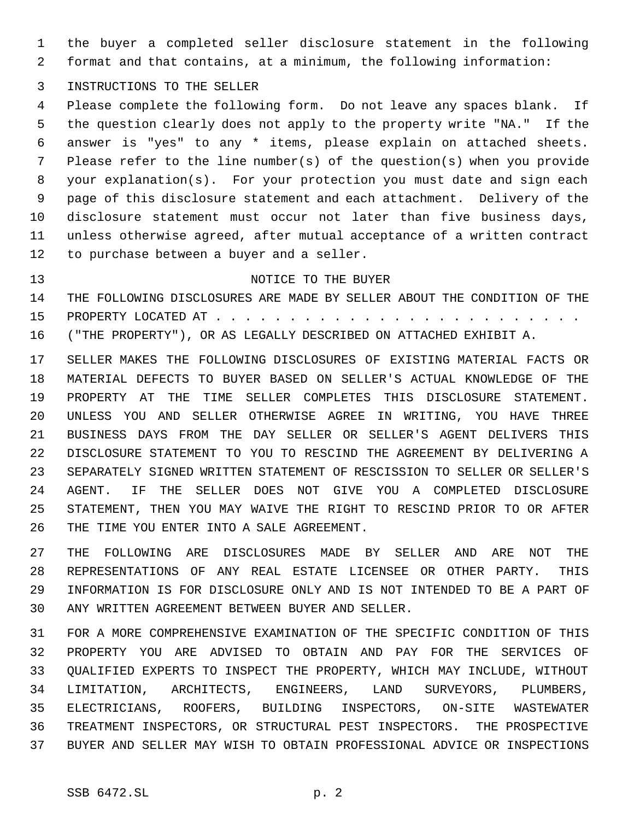the buyer a completed seller disclosure statement in the following format and that contains, at a minimum, the following information:

INSTRUCTIONS TO THE SELLER

 Please complete the following form. Do not leave any spaces blank. If the question clearly does not apply to the property write "NA." If the answer is "yes" to any \* items, please explain on attached sheets. Please refer to the line number(s) of the question(s) when you provide your explanation(s). For your protection you must date and sign each page of this disclosure statement and each attachment. Delivery of the disclosure statement must occur not later than five business days, unless otherwise agreed, after mutual acceptance of a written contract to purchase between a buyer and a seller.

13 NOTICE TO THE BUYER THE FOLLOWING DISCLOSURES ARE MADE BY SELLER ABOUT THE CONDITION OF THE PROPERTY LOCATED AT . . . . . . . . . . . . . . . . . . . . . . . . .

("THE PROPERTY"), OR AS LEGALLY DESCRIBED ON ATTACHED EXHIBIT A.

 SELLER MAKES THE FOLLOWING DISCLOSURES OF EXISTING MATERIAL FACTS OR MATERIAL DEFECTS TO BUYER BASED ON SELLER'S ACTUAL KNOWLEDGE OF THE PROPERTY AT THE TIME SELLER COMPLETES THIS DISCLOSURE STATEMENT. UNLESS YOU AND SELLER OTHERWISE AGREE IN WRITING, YOU HAVE THREE BUSINESS DAYS FROM THE DAY SELLER OR SELLER'S AGENT DELIVERS THIS DISCLOSURE STATEMENT TO YOU TO RESCIND THE AGREEMENT BY DELIVERING A SEPARATELY SIGNED WRITTEN STATEMENT OF RESCISSION TO SELLER OR SELLER'S AGENT. IF THE SELLER DOES NOT GIVE YOU A COMPLETED DISCLOSURE STATEMENT, THEN YOU MAY WAIVE THE RIGHT TO RESCIND PRIOR TO OR AFTER THE TIME YOU ENTER INTO A SALE AGREEMENT.

 THE FOLLOWING ARE DISCLOSURES MADE BY SELLER AND ARE NOT THE REPRESENTATIONS OF ANY REAL ESTATE LICENSEE OR OTHER PARTY. THIS INFORMATION IS FOR DISCLOSURE ONLY AND IS NOT INTENDED TO BE A PART OF ANY WRITTEN AGREEMENT BETWEEN BUYER AND SELLER.

 FOR A MORE COMPREHENSIVE EXAMINATION OF THE SPECIFIC CONDITION OF THIS PROPERTY YOU ARE ADVISED TO OBTAIN AND PAY FOR THE SERVICES OF QUALIFIED EXPERTS TO INSPECT THE PROPERTY, WHICH MAY INCLUDE, WITHOUT LIMITATION, ARCHITECTS, ENGINEERS, LAND SURVEYORS, PLUMBERS, ELECTRICIANS, ROOFERS, BUILDING INSPECTORS, ON-SITE WASTEWATER TREATMENT INSPECTORS, OR STRUCTURAL PEST INSPECTORS. THE PROSPECTIVE BUYER AND SELLER MAY WISH TO OBTAIN PROFESSIONAL ADVICE OR INSPECTIONS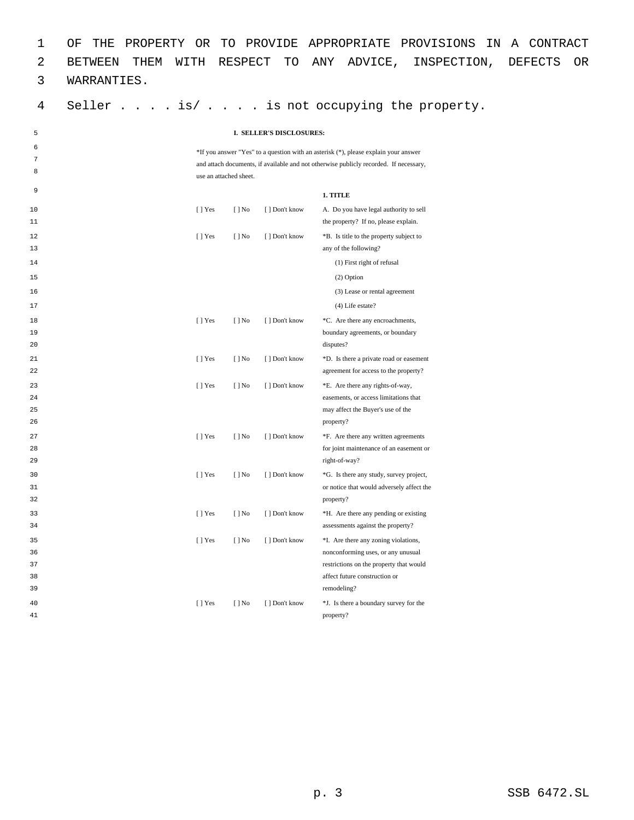| 1              | ΟF<br>THE<br>PROPERTY                                       | TO<br>0R               |          | PROVIDE                  | APPROPRIATE                                                                           | PROVISIONS<br>ΙN | Α<br>CONTRACT  |    |
|----------------|-------------------------------------------------------------|------------------------|----------|--------------------------|---------------------------------------------------------------------------------------|------------------|----------------|----|
| 2              | <b>BETWEEN</b><br>THEM<br>WITH                              |                        | RESPECT  | TО                       | ANY<br>ADVICE,                                                                        | INSPECTION,      | <b>DEFECTS</b> | OR |
| 3              | WARRANTIES.                                                 |                        |          |                          |                                                                                       |                  |                |    |
| $\overline{4}$ | Seller $\ldots$ is/ $\ldots$ is not occupying the property. |                        |          |                          |                                                                                       |                  |                |    |
| 5              |                                                             |                        |          | I. SELLER'S DISCLOSURES: |                                                                                       |                  |                |    |
| 6              |                                                             |                        |          |                          | *If you answer "Yes" to a question with an asterisk (*), please explain your answer   |                  |                |    |
| 7              |                                                             |                        |          |                          | and attach documents, if available and not otherwise publicly recorded. If necessary, |                  |                |    |
| 8              |                                                             | use an attached sheet. |          |                          |                                                                                       |                  |                |    |
| 9              |                                                             |                        |          |                          | 1. TITLE                                                                              |                  |                |    |
| 10             |                                                             | $[ ]$ Yes              | $[ ]$ No | [ ] Don't know           | A. Do you have legal authority to sell                                                |                  |                |    |
| 11             |                                                             |                        |          |                          | the property? If no, please explain.                                                  |                  |                |    |
| 12             |                                                             | $[ ]$ Yes              | $[ ]$ No | [ ] Don't know           | *B. Is title to the property subject to                                               |                  |                |    |
| 13             |                                                             |                        |          |                          | any of the following?                                                                 |                  |                |    |
| 14             |                                                             |                        |          |                          | (1) First right of refusal                                                            |                  |                |    |
| 15             |                                                             |                        |          |                          | (2) Option                                                                            |                  |                |    |
| 16             |                                                             |                        |          |                          | (3) Lease or rental agreement                                                         |                  |                |    |
| 17             |                                                             |                        |          |                          | $(4)$ Life estate?                                                                    |                  |                |    |
| 18<br>19       |                                                             | $[ ]$ Yes              | $[ ]$ No | [ ] Don't know           | *C. Are there any encroachments,                                                      |                  |                |    |
| 20             |                                                             |                        |          |                          | boundary agreements, or boundary<br>disputes?                                         |                  |                |    |
| 21             |                                                             | $[ ]$ Yes              | $[ ]$ No | [ ] Don't know           | *D. Is there a private road or easement                                               |                  |                |    |
| 22             |                                                             |                        |          |                          | agreement for access to the property?                                                 |                  |                |    |
| 23             |                                                             | $[ ]$ Yes              | $[ ]$ No | [ ] Don't know           | *E. Are there any rights-of-way,                                                      |                  |                |    |
| 24             |                                                             |                        |          |                          | easements, or access limitations that                                                 |                  |                |    |
| 25             |                                                             |                        |          |                          | may affect the Buyer's use of the                                                     |                  |                |    |
| 26             |                                                             |                        |          |                          | property?                                                                             |                  |                |    |
| 27             |                                                             | $[ ]$ Yes              | $[ ]$ No | [ ] Don't know           | *F. Are there any written agreements                                                  |                  |                |    |
| 28<br>29       |                                                             |                        |          |                          | for joint maintenance of an easement or<br>right-of-way?                              |                  |                |    |
| 30             |                                                             | $[ ]$ Yes              | $[ ]$ No | [ ] Don't know           | *G. Is there any study, survey project,                                               |                  |                |    |
| 31             |                                                             |                        |          |                          | or notice that would adversely affect the                                             |                  |                |    |
| 32             |                                                             |                        |          |                          | property?                                                                             |                  |                |    |
| 33             |                                                             | $[ ]$ Yes              | $[ ]$ No | [ ] Don't know           | *H. Are there any pending or existing                                                 |                  |                |    |
| 34             |                                                             |                        |          |                          | assessments against the property?                                                     |                  |                |    |
| 35             |                                                             | $[ ]$ Yes              | $[$   No | [ ] Don't know           | *I. Are there any zoning violations,                                                  |                  |                |    |
| 36             |                                                             |                        |          |                          | nonconforming uses, or any unusual                                                    |                  |                |    |
| 37<br>38       |                                                             |                        |          |                          | restrictions on the property that would<br>affect future construction or              |                  |                |    |
| 39             |                                                             |                        |          |                          | remodeling?                                                                           |                  |                |    |
| 40             |                                                             | $[ ]$ Yes              | $[ ]$ No | [ ] Don't know           | *J. Is there a boundary survey for the                                                |                  |                |    |
| 41             |                                                             |                        |          |                          | property?                                                                             |                  |                |    |
|                |                                                             |                        |          |                          |                                                                                       |                  |                |    |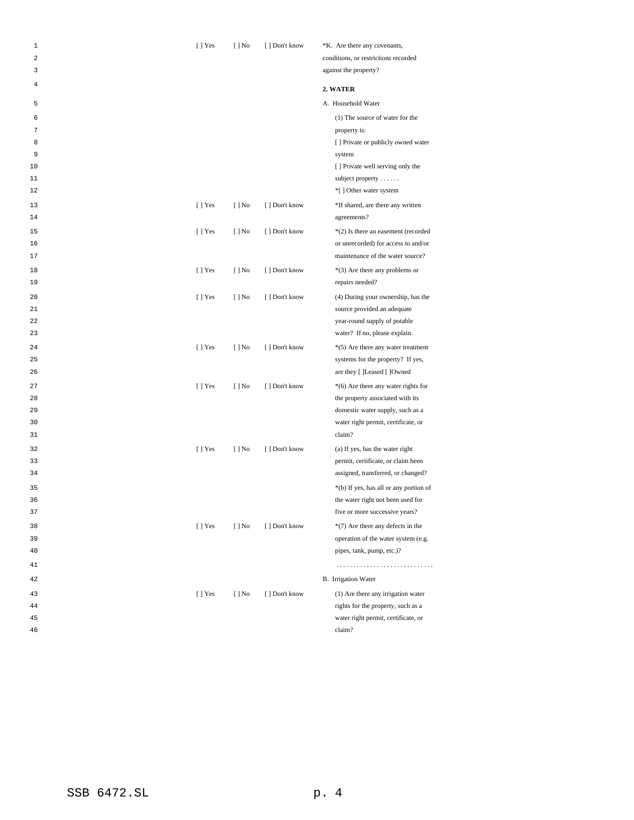| 1        | [] Yes | $[ ]$ No | [ ] Don't know | *K. Are there any covenants,                  |
|----------|--------|----------|----------------|-----------------------------------------------|
| 2        |        |          |                | conditions, or restrictions recorded          |
| 3        |        |          |                | against the property?                         |
| 4        |        |          |                | 2. WATER                                      |
| 5        |        |          |                | A. Household Water                            |
| 6        |        |          |                | (1) The source of water for the               |
| 7        |        |          |                | property is:                                  |
| 8        |        |          |                | [] Private or publicly owned water            |
| 9<br>10  |        |          |                | system<br>[] Private well serving only the    |
| 11       |        |          |                | subject property                              |
| 12       |        |          |                | *[] Other water system                        |
| 13       | [] Yes | $[ ]$ No | [ ] Don't know | *If shared, are there any written             |
| 14       |        |          |                | agreements?                                   |
| 15       | [] Yes | $[ ]$ No | [ ] Don't know | *(2) Is there an easement (recorded           |
| 16       |        |          |                | or unrecorded) for access to and/or           |
| 17       |        |          |                | maintenance of the water source?              |
| 18       | [] Yes | $[ ]$ No | [ ] Don't know | *(3) Are there any problems or                |
| 19       |        |          |                | repairs needed?                               |
| 20       | [] Yes | $[ ]$ No | [ ] Don't know | (4) During your ownership, has the            |
| 21       |        |          |                | source provided an adequate                   |
| 22       |        |          |                | year-round supply of potable                  |
| 23       |        |          |                | water? If no, please explain.                 |
| 24       | [] Yes | $[ ]$ No | [ ] Don't know | *(5) Are there any water treatment            |
| 25       |        |          |                | systems for the property? If yes,             |
| 26       |        |          |                | are they [ ]Leased [ ]Owned                   |
| 27       | [] Yes | $[ ]$ No | [ ] Don't know | *(6) Are there any water rights for           |
| 28       |        |          |                | the property associated with its              |
| 29       |        |          |                | domestic water supply, such as a              |
| 30<br>31 |        |          |                | water right permit, certificate, or<br>claim? |
| 32       | [] Yes | $[$   No | [ ] Don't know | (a) If yes, has the water right               |
| 33       |        |          |                | permit, certificate, or claim been            |
| 34       |        |          |                | assigned, transferred, or changed?            |
| 35       |        |          |                | *(b) If yes, has all or any portion of        |
| 36       |        |          |                | the water right not been used for             |
| 37       |        |          |                | five or more successive years?                |
| 38       | [] Yes | $[ ]$ No | [ ] Don't know | *(7) Are there any defects in the             |
| 39       |        |          |                | operation of the water system (e.g.           |
| 40       |        |          |                | pipes, tank, pump, etc.)?                     |
| 41       |        |          |                |                                               |
| 42       |        |          |                | <b>B.</b> Irrigation Water                    |
| 43       | [] Yes | $[ ]$ No | [ ] Don't know | (1) Are there any irrigation water            |
| 44       |        |          |                | rights for the property, such as a            |
| 45       |        |          |                | water right permit, certificate, or           |
| 46       |        |          |                | claim?                                        |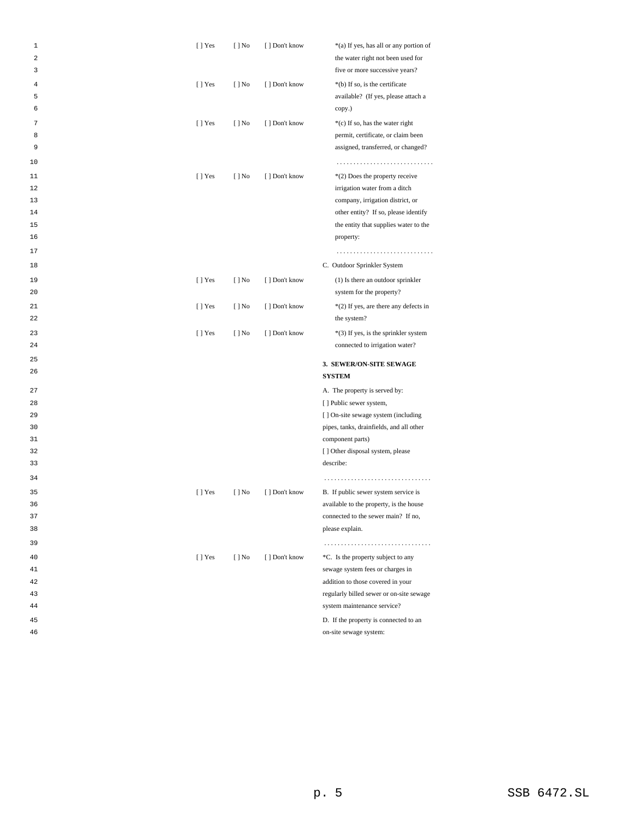| $1\,$<br>2  | [] Yes    | $[ ]$ No                 | [ ] Don't know | *(a) If yes, has all or any portion of<br>the water right not been used for                                 |
|-------------|-----------|--------------------------|----------------|-------------------------------------------------------------------------------------------------------------|
| 3           |           |                          |                | five or more successive years?                                                                              |
| 4<br>5<br>6 | [] Yes    | $[ ]$ No                 | [ ] Don't know | *(b) If so, is the certificate<br>available? (If yes, please attach a<br>copy.)                             |
| 7<br>8<br>9 | [] Yes    | $[ ]$ No                 | [ ] Don't know | *(c) If so, has the water right<br>permit, certificate, or claim been<br>assigned, transferred, or changed? |
| 10          |           |                          |                |                                                                                                             |
| 11<br>12    | [] Yes    | $[$   No                 | [ ] Don't know | $*(2)$ Does the property receive<br>irrigation water from a ditch                                           |
| 13          |           |                          |                | company, irrigation district, or                                                                            |
| 14          |           |                          |                | other entity? If so, please identify                                                                        |
| 15<br>16    |           |                          |                | the entity that supplies water to the<br>property:                                                          |
| 17          |           |                          |                |                                                                                                             |
| 18          |           |                          |                | C. Outdoor Sprinkler System                                                                                 |
| 19<br>20    | [] Yes    | $[ ]$ No                 | [ ] Don't know | (1) Is there an outdoor sprinkler<br>system for the property?                                               |
| 21          | [] Yes    | $[ ]$ No                 | [ ] Don't know | *(2) If yes, are there any defects in                                                                       |
| 22          |           |                          |                | the system?                                                                                                 |
| 23          | [] Yes    | $[ ]$ No                 | [ ] Don't know | *(3) If yes, is the sprinkler system                                                                        |
|             |           |                          |                |                                                                                                             |
| 24          |           |                          |                | connected to irrigation water?                                                                              |
| 25          |           |                          |                |                                                                                                             |
| 26          |           |                          |                | 3. SEWER/ON-SITE SEWAGE<br><b>SYSTEM</b>                                                                    |
| 27          |           |                          |                | A. The property is served by:                                                                               |
| 28          |           |                          |                | [] Public sewer system,                                                                                     |
| 29          |           |                          |                | [] On-site sewage system (including                                                                         |
| 30          |           |                          |                | pipes, tanks, drainfields, and all other                                                                    |
| 31          |           |                          |                | component parts)                                                                                            |
| 32          |           |                          |                | [] Other disposal system, please                                                                            |
| 33          |           |                          |                | describe:                                                                                                   |
| 34          |           |                          |                |                                                                                                             |
| 35          | $[ ]$ Yes | $[ ]$ No                 | [ ] Don't know | B. If public sewer system service is                                                                        |
| 36          |           |                          |                | available to the property, is the house                                                                     |
| 37          |           |                          |                | connected to the sewer main? If no,                                                                         |
| 38          |           |                          |                | please explain.                                                                                             |
| 39          |           |                          |                |                                                                                                             |
| 40          | [] Yes    | $\lceil \cdot \rceil$ No | [ ] Don't know | *C. Is the property subject to any                                                                          |
| 41<br>42    |           |                          |                | sewage system fees or charges in                                                                            |
| 43          |           |                          |                | addition to those covered in your<br>regularly billed sewer or on-site sewage                               |
| 44          |           |                          |                | system maintenance service?                                                                                 |
| 45          |           |                          |                | D. If the property is connected to an                                                                       |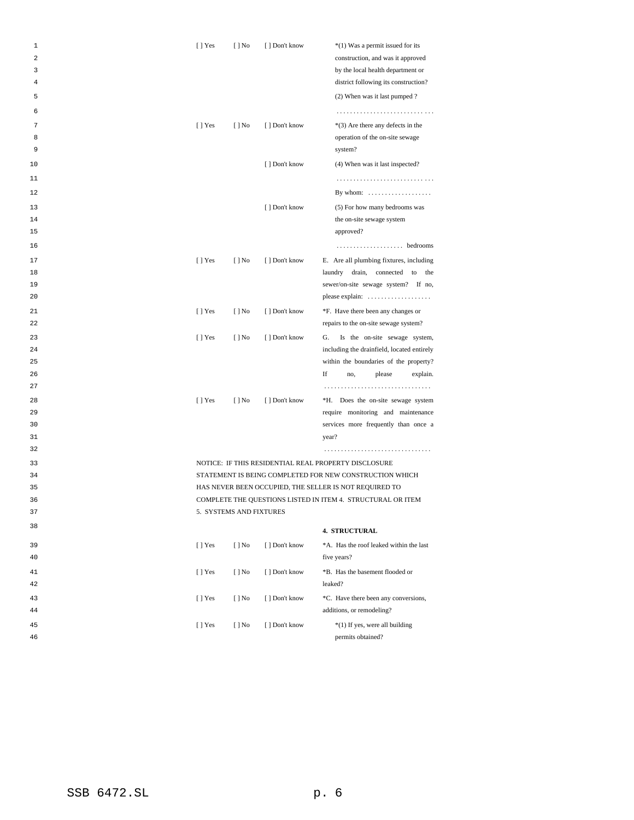| 1<br>2   | $[ ]$ Yes | $[ ]$ No                | [ ] Don't know | *(1) Was a permit issued for its<br>construction, and was it approved     |
|----------|-----------|-------------------------|----------------|---------------------------------------------------------------------------|
| 3<br>4   |           |                         |                | by the local health department or<br>district following its construction? |
| 5        |           |                         |                | (2) When was it last pumped?                                              |
| 6        |           |                         |                |                                                                           |
| 7        | $[ ]$ Yes | $[ ]$ No                | [ ] Don't know | $*(3)$ Are there any defects in the                                       |
| 8        |           |                         |                | operation of the on-site sewage                                           |
| 9        |           |                         |                | system?                                                                   |
| 10       |           |                         | [ ] Don't know | (4) When was it last inspected?                                           |
| 11       |           |                         |                |                                                                           |
| 12       |           |                         |                | By whom: $\dots\dots\dots\dots\dots\dots$                                 |
| 13       |           |                         | [ ] Don't know | (5) For how many bedrooms was                                             |
| 14       |           |                         |                | the on-site sewage system                                                 |
| 15       |           |                         |                | approved?                                                                 |
| 16       |           |                         |                |                                                                           |
| 17       | $[ ]$ Yes | $[ ]$ No                | [ ] Don't know | E. Are all plumbing fixtures, including                                   |
| 18       |           |                         |                | drain, connected to<br>laundry<br>the                                     |
| 19       |           |                         |                | sewer/on-site sewage system? If no,                                       |
| 20       |           |                         |                | please explain:                                                           |
| 21       | $[ ]$ Yes | $[ ]$ No                | [ ] Don't know | *F. Have there been any changes or                                        |
| 22       |           |                         |                | repairs to the on-site sewage system?                                     |
| 23       | $[ ]$ Yes | $[ ]$ No                | [ ] Don't know | G.<br>Is the on-site sewage system,                                       |
| 24       |           |                         |                | including the drainfield, located entirely                                |
| 25       |           |                         |                | within the boundaries of the property?                                    |
| 26       |           |                         |                | If<br>no,<br>please<br>explain.                                           |
| 27       |           |                         |                |                                                                           |
| 28<br>29 | $[ ]$ Yes | $[ ]$ No                | [ ] Don't know | *H. Does the on-site sewage system<br>require monitoring and maintenance  |
| 30       |           |                         |                | services more frequently than once a                                      |
| 31       |           |                         |                | year?                                                                     |
| 32       |           |                         |                |                                                                           |
| 33       |           |                         |                | NOTICE: IF THIS RESIDENTIAL REAL PROPERTY DISCLOSURE                      |
| 34       |           |                         |                | STATEMENT IS BEING COMPLETED FOR NEW CONSTRUCTION WHICH                   |
| 35       |           |                         |                | HAS NEVER BEEN OCCUPIED, THE SELLER IS NOT REQUIRED TO                    |
| 36       |           |                         |                | COMPLETE THE QUESTIONS LISTED IN ITEM 4. STRUCTURAL OR ITEM               |
| 37       |           | 5. SYSTEMS AND FIXTURES |                |                                                                           |
| 38       |           |                         |                | 4. STRUCTURAL                                                             |
| 39       | [] Yes    | $[ ]$ No                | [ ] Don't know | *A. Has the roof leaked within the last                                   |
| 40       |           |                         |                | five years?                                                               |
| 41       | [] Yes    | $[ ]$ No                | [ ] Don't know | *B. Has the basement flooded or                                           |
| 42       |           |                         |                | leaked?                                                                   |
| 43       | [] Yes    | $[ ]$ No                | [] Don't know  | *C. Have there been any conversions,                                      |
| 44       |           |                         |                | additions, or remodeling?                                                 |
| 45       | $[ ]$ Yes | $[ ]$ No                | [ ] Don't know | *(1) If yes, were all building                                            |
| 46       |           |                         |                | permits obtained?                                                         |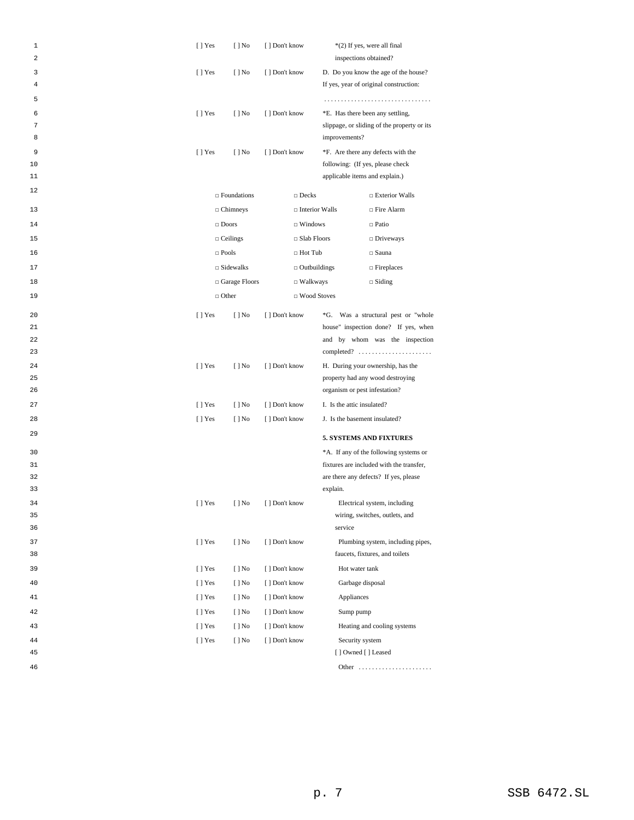| 1<br>2  | $[ ]$ Yes | $[$   No           | [ ] Don't know        | inspections obtained?          | *(2) If yes, were all final                                            |
|---------|-----------|--------------------|-----------------------|--------------------------------|------------------------------------------------------------------------|
| 3       | $[$ Tes   | $[ ]$ No           | [ ] Don't know        |                                | D. Do you know the age of the house?                                   |
| 4       |           |                    |                       |                                | If yes, year of original construction:                                 |
| 5       |           |                    |                       |                                |                                                                        |
| 6       | $[ ]$ Yes | $[ ]$ No           | [ ] Don't know        |                                | *E. Has there been any settling,                                       |
| 7       |           |                    |                       |                                | slippage, or sliding of the property or its                            |
| 8       |           |                    |                       | improvements?                  |                                                                        |
| 9<br>10 | $[ ]$ Yes | $[ ]$ No           | [ ] Don't know        |                                | *F. Are there any defects with the<br>following: (If yes, please check |
| 11      |           |                    |                       | applicable items and explain.) |                                                                        |
| 12      |           |                    |                       |                                |                                                                        |
|         |           | $\Box$ Foundations | $\Box$ Decks          |                                | $\Box$ Exterior Walls                                                  |
| 13      |           | $\Box$ Chimneys    | $\Box$ Interior Walls |                                | □ Fire Alarm                                                           |
| 14      |           | $\Box$ Doors       | $\Box$ Windows        |                                | $\Box$ Patio                                                           |
| 15      |           | $\Box$ Ceilings    | $\Box$ Slab Floors    |                                | $\Box$ Driveways                                                       |
| 16      |           | $\Box$ Pools       | $\Box$ Hot Tub        |                                | $\Box$ Sauna                                                           |
| 17      |           | $\Box$ Sidewalks   | $\Box$ Outbuildings   |                                | $\Box$ Fireplaces                                                      |
| 18      |           | □ Garage Floors    | $\Box$ Walkways       |                                | $\Box$ Siding                                                          |
| 19      |           | $\Box$ Other       | □ Wood Stoves         |                                |                                                                        |
| 20      | $[$ Tes   | $[ ]$ No           | [ ] Don't know        |                                | *G. Was a structural pest or "whole                                    |
| 21      |           |                    |                       |                                | house" inspection done? If yes, when                                   |
| 22      |           |                    |                       |                                | and by whom was the inspection                                         |
| 23      |           |                    |                       |                                |                                                                        |
| 24      | $[ ]$ Yes | $[ ]$ No           | [ ] Don't know        |                                | H. During your ownership, has the                                      |
| 25      |           |                    |                       |                                | property had any wood destroying                                       |
| 26      |           |                    |                       | organism or pest infestation?  |                                                                        |
| 27      | $[ ]$ Yes | $[ ]$ No           | [ ] Don't know        | I. Is the attic insulated?     |                                                                        |
| 28      | [ ] Yes   | $[ ]$ No           | [ ] Don't know        | J. Is the basement insulated?  |                                                                        |
| 29      |           |                    |                       |                                | <b>5. SYSTEMS AND FIXTURES</b>                                         |
| 30      |           |                    |                       |                                | *A. If any of the following systems or                                 |
| 31      |           |                    |                       |                                | fixtures are included with the transfer,                               |
| 32      |           |                    |                       |                                | are there any defects? If yes, please                                  |
| 33      |           |                    |                       | explain.                       |                                                                        |
| 34      | [ ] Yes   | [ ] No             | [ ] Don't know        |                                | Electrical system, including                                           |
| 35      |           |                    |                       |                                | wiring, switches, outlets, and                                         |
| 36      |           |                    |                       | service                        |                                                                        |
| 37      | [ ] Yes   | $[ ]$ No           | [ ] Don't know        |                                | Plumbing system, including pipes,<br>faucets, fixtures, and toilets    |
| 38      |           |                    |                       |                                |                                                                        |
| 39      | $[ ]$ Yes | $[ ]$ No           | [ ] Don't know        | Hot water tank                 |                                                                        |
| 40      | [] Yes    | $[ ]$ No           | [ ] Don't know        | Garbage disposal               |                                                                        |
| 41      | $[$   Yes | $[ ]$ No           | [] Don't know         | Appliances                     |                                                                        |
| 42      | [ ] Yes   | $[ ]$ No           | [ ] Don't know        | Sump pump                      |                                                                        |
| 43      | [] Yes    | $[ ]$ No           | [ ] Don't know        |                                | Heating and cooling systems                                            |
| 44      | [] Yes    | $[ ]$ No           | [ ] Don't know        | Security system                |                                                                        |
| 45      |           |                    |                       | [] Owned [] Leased             |                                                                        |
| 46      |           |                    |                       |                                |                                                                        |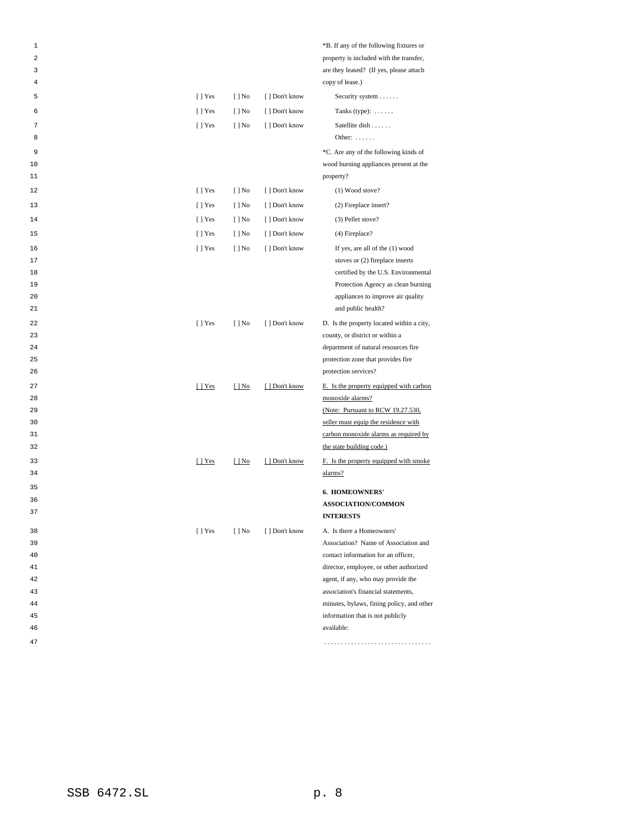| $\mathbf 1$             |            |           |                | *B. If any of the following fixtures or                                          |
|-------------------------|------------|-----------|----------------|----------------------------------------------------------------------------------|
| $\overline{\mathbf{c}}$ |            |           |                | property is included with the transfer,                                          |
| 3                       |            |           |                | are they leased? (If yes, please attach                                          |
| 4                       |            |           |                | copy of lease.)                                                                  |
| 5                       | $[ ]$ Yes  | $[ ]$ No  | [] Don't know  | Security system                                                                  |
| 6                       | $[ ]$ Yes  | $[ ]$ No  | [ ] Don't know | Tanks (type): $\dots$                                                            |
| 7                       | $[ ]$ Yes  | $[ ]$ No  | [ ] Don't know | Satellite dish                                                                   |
| 8                       |            |           |                | Other: $\dots$ .                                                                 |
| 9                       |            |           |                | *C. Are any of the following kinds of                                            |
| 10                      |            |           |                | wood burning appliances present at the                                           |
| 11                      |            |           |                | property?                                                                        |
| 12                      | $[ ]$ Yes  | $[ ]$ No  | [ ] Don't know | (1) Wood stove?                                                                  |
| 13                      | $[ ]$ Yes  | $[ ]$ No  | [ ] Don't know | (2) Fireplace insert?                                                            |
| 14                      | $[ ]$ Yes  | $[ ]$ No  | [ ] Don't know | (3) Pellet stove?                                                                |
| 15                      | [] Yes     | $[ ]$ No  | [ ] Don't know | (4) Fireplace?                                                                   |
| 16                      | [ ] Yes    | $[ ]$ No  | [ ] Don't know | If yes, are all of the (1) wood                                                  |
| 17                      |            |           |                | stoves or (2) fireplace inserts                                                  |
| 18                      |            |           |                | certified by the U.S. Environmental                                              |
| 19                      |            |           |                | Protection Agency as clean burning                                               |
| 20                      |            |           |                | appliances to improve air quality                                                |
| 21                      |            |           |                | and public health?                                                               |
| 22                      | $[$   Yes  | $[$   No  | [ ] Don't know | D. Is the property located within a city,                                        |
| 23<br>24                |            |           |                | county, or district or within a                                                  |
| 25                      |            |           |                | department of natural resources fire<br>protection zone that provides fire       |
| 26                      |            |           |                | protection services?                                                             |
| 27                      | $\Box$ Yes | $\Box$ No | [] Don't know  | E. Is the property equipped with carbon                                          |
| 28                      |            |           |                | monoxide alarms?                                                                 |
| 29                      |            |           |                | (Note: Pursuant to RCW 19.27.530,                                                |
| 30                      |            |           |                | seller must equip the residence with                                             |
| 31                      |            |           |                | carbon monoxide alarms as required by                                            |
| 32                      |            |           |                | the state building code.)                                                        |
| 33                      | $\Box$ Yes | $\Box$ No | [] Don't know  | F. Is the property equipped with smoke                                           |
| 34                      |            |           |                | alarms?                                                                          |
| 35                      |            |           |                | <b>6. HOMEOWNERS'</b>                                                            |
| 36                      |            |           |                | ASSOCIATION/COMMON                                                               |
| 37                      |            |           |                | <b>INTERESTS</b>                                                                 |
| 38                      | [] Yes     | $[ ]$ No  | [ ] Don't know | A. Is there a Homeowners'                                                        |
| 39                      |            |           |                | Association? Name of Association and                                             |
| 40                      |            |           |                | contact information for an officer,                                              |
| 41                      |            |           |                | director, employee, or other authorized                                          |
| 42                      |            |           |                | agent, if any, who may provide the                                               |
| 43<br>44                |            |           |                | association's financial statements,<br>minutes, bylaws, fining policy, and other |
| 45                      |            |           |                | information that is not publicly                                                 |
| 46                      |            |           |                | available:                                                                       |
| 47                      |            |           |                |                                                                                  |
|                         |            |           |                |                                                                                  |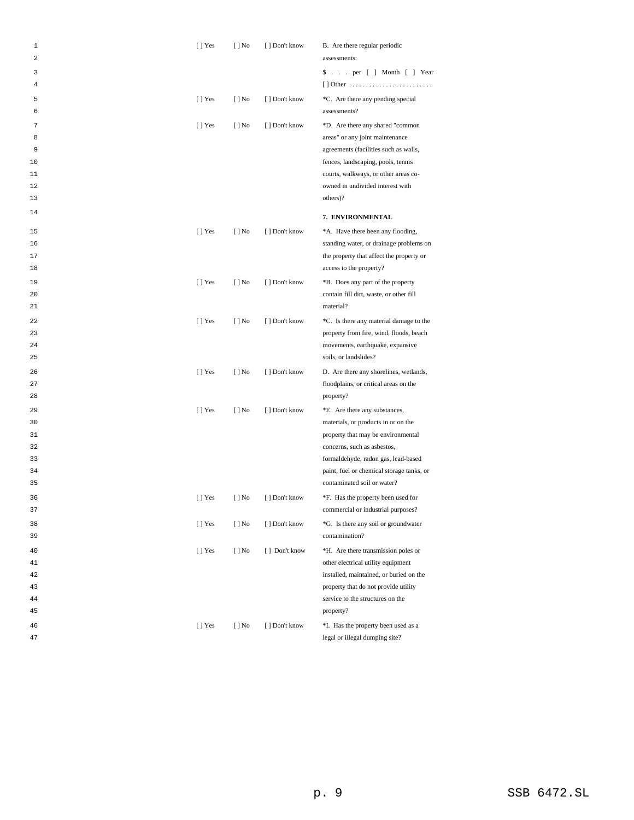| $1\,$<br>2 | [ ] Yes   | $[ ]$ No | [ ] Don't know | B. Are there regular periodic<br>assessments:                                |
|------------|-----------|----------|----------------|------------------------------------------------------------------------------|
| 3<br>4     |           |          |                | \$ per [ ] Month [ ] Year<br>$[ ]$ Other                                     |
| 5          | $[ ]$ Yes | $[$   No | [ ] Don't know | *C. Are there any pending special                                            |
| 6<br>7     | $[ ]$ Yes | $[ ]$ No | [ ] Don't know | assessments?<br>*D. Are there any shared "common                             |
| 8<br>9     |           |          |                | areas" or any joint maintenance<br>agreements (facilities such as walls,     |
| 10         |           |          |                | fences, landscaping, pools, tennis                                           |
| 11         |           |          |                | courts, walkways, or other areas co-                                         |
| 12         |           |          |                | owned in undivided interest with                                             |
| 13         |           |          |                | others)?                                                                     |
| 14         |           |          |                | 7. ENVIRONMENTAL                                                             |
| 15         | $[ ]$ Yes | $[ ]$ No | [ ] Don't know | *A. Have there been any flooding,                                            |
| 16         |           |          |                | standing water, or drainage problems on                                      |
| 17<br>18   |           |          |                | the property that affect the property or<br>access to the property?          |
|            |           |          |                |                                                                              |
| 19<br>20   | $[ ]$ Yes | $[ ]$ No | [ ] Don't know | *B. Does any part of the property<br>contain fill dirt, waste, or other fill |
| 21         |           |          |                | material?                                                                    |
| 22         | $[ ]$ Yes | $[ ]$ No | [ ] Don't know | *C. Is there any material damage to the                                      |
| 23         |           |          |                | property from fire, wind, floods, beach                                      |
| 24         |           |          |                | movements, earthquake, expansive                                             |
| 25         |           |          |                | soils, or landslides?                                                        |
| 26         | $[ ]$ Yes | $[ ]$ No | [ ] Don't know | D. Are there any shorelines, wetlands,                                       |
| 27         |           |          |                | floodplains, or critical areas on the                                        |
| 28         |           |          |                | property?                                                                    |
| 29         | $[ ]$ Yes | $[ ]$ No | [ ] Don't know | *E. Are there any substances,                                                |
| 30         |           |          |                | materials, or products in or on the                                          |
| 31<br>32   |           |          |                | property that may be environmental<br>concerns, such as asbestos,            |
| 33         |           |          |                | formaldehyde, radon gas, lead-based                                          |
| 34         |           |          |                | paint, fuel or chemical storage tanks, or                                    |
| 35         |           |          |                | contaminated soil or water?                                                  |
| 36         | $[ ]$ Yes | $[ ]$ No | [ ] Don't know | *F. Has the property been used for                                           |
| 37         |           |          |                | commercial or industrial purposes?                                           |
| 38         | $[ ]$ Yes | $[ ]$ No | [ ] Don't know | *G. Is there any soil or groundwater                                         |
| 39         |           |          |                | contamination?                                                               |
| 40         | $[ ]$ Yes | $[ ]$ No | [] Don't know  | *H. Are there transmission poles or                                          |
| 41         |           |          |                | other electrical utility equipment                                           |
| 42         |           |          |                | installed, maintained, or buried on the                                      |
| 43         |           |          |                | property that do not provide utility                                         |
| 44         |           |          |                | service to the structures on the                                             |
| 45         |           |          |                | property?                                                                    |
| 46         | $[ ]$ Yes | $[ ]$ No | [ ] Don't know | *I. Has the property been used as a                                          |
| 47         |           |          |                | legal or illegal dumping site?                                               |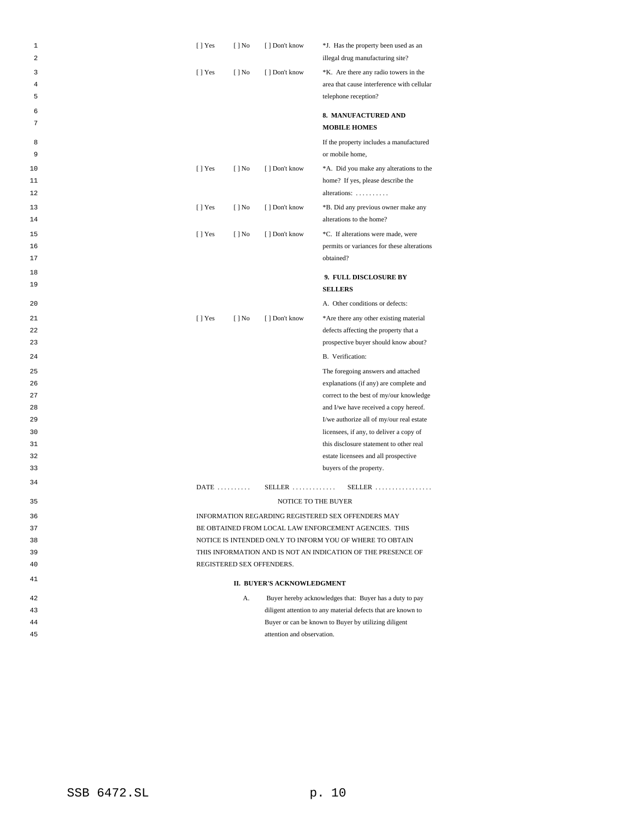| 1<br>2 | [] Yes                    | $[ ]$ No | [ ] Don't know             | *J. Has the property been used as an<br>illegal drug manufacturing site? |
|--------|---------------------------|----------|----------------------------|--------------------------------------------------------------------------|
| 3      | [] Yes                    | $[ ]$ No | [ ] Don't know             | *K. Are there any radio towers in the                                    |
| 4      |                           |          |                            | area that cause interference with cellular                               |
| 5      |                           |          |                            | telephone reception?                                                     |
| 6      |                           |          |                            | 8. MANUFACTURED AND                                                      |
| 7      |                           |          |                            | <b>MOBILE HOMES</b>                                                      |
| 8      |                           |          |                            | If the property includes a manufactured                                  |
| 9      |                           |          |                            | or mobile home,                                                          |
| 10     | [] Yes                    | $[ ]$ No | [ ] Don't know             | *A. Did you make any alterations to the                                  |
| 11     |                           |          |                            | home? If yes, please describe the                                        |
| 12     |                           |          |                            | alterations:                                                             |
| 13     | [] Yes                    | $[ ]$ No | [ ] Don't know             | *B. Did any previous owner make any                                      |
| 14     |                           |          |                            | alterations to the home?                                                 |
| 15     | [] Yes                    | $[ ]$ No | [ ] Don't know             | *C. If alterations were made, were                                       |
| 16     |                           |          |                            | permits or variances for these alterations                               |
| 17     |                           |          |                            | obtained?                                                                |
| 18     |                           |          |                            | 9. FULL DISCLOSURE BY                                                    |
| 19     |                           |          |                            | <b>SELLERS</b>                                                           |
| 20     |                           |          |                            | A. Other conditions or defects:                                          |
| 21     | [] Yes                    | $[ ]$ No | [ ] Don't know             | *Are there any other existing material                                   |
| 22     |                           |          |                            | defects affecting the property that a                                    |
| 23     |                           |          |                            | prospective buyer should know about?                                     |
| 24     |                           |          |                            | B. Verification:                                                         |
| 25     |                           |          |                            | The foregoing answers and attached                                       |
| 26     |                           |          |                            | explanations (if any) are complete and                                   |
| 27     |                           |          |                            | correct to the best of my/our knowledge                                  |
| 28     |                           |          |                            | and I/we have received a copy hereof.                                    |
| 29     |                           |          |                            | I/we authorize all of my/our real estate                                 |
| 30     |                           |          |                            | licensees, if any, to deliver a copy of                                  |
| 31     |                           |          |                            | this disclosure statement to other real                                  |
| 32     |                           |          |                            | estate licensees and all prospective                                     |
| 33     |                           |          |                            | buyers of the property.                                                  |
| 34     | DATE                      |          | $SELLER$                   | SELLER                                                                   |
| 35     |                           |          | NOTICE TO THE BUYER        |                                                                          |
| 36     |                           |          |                            | INFORMATION REGARDING REGISTERED SEX OFFENDERS MAY                       |
| 37     |                           |          |                            | BE OBTAINED FROM LOCAL LAW ENFORCEMENT AGENCIES. THIS                    |
| 38     |                           |          |                            | NOTICE IS INTENDED ONLY TO INFORM YOU OF WHERE TO OBTAIN                 |
| 39     |                           |          |                            | THIS INFORMATION AND IS NOT AN INDICATION OF THE PRESENCE OF             |
| 40     | REGISTERED SEX OFFENDERS. |          |                            |                                                                          |
| 41     |                           |          | II. BUYER'S ACKNOWLEDGMENT |                                                                          |
| 42     |                           | А.       |                            | Buyer hereby acknowledges that: Buyer has a duty to pay                  |
| 43     |                           |          |                            | diligent attention to any material defects that are known to             |
| 44     |                           |          |                            | Buyer or can be known to Buyer by utilizing diligent                     |
| 45     |                           |          | attention and observation. |                                                                          |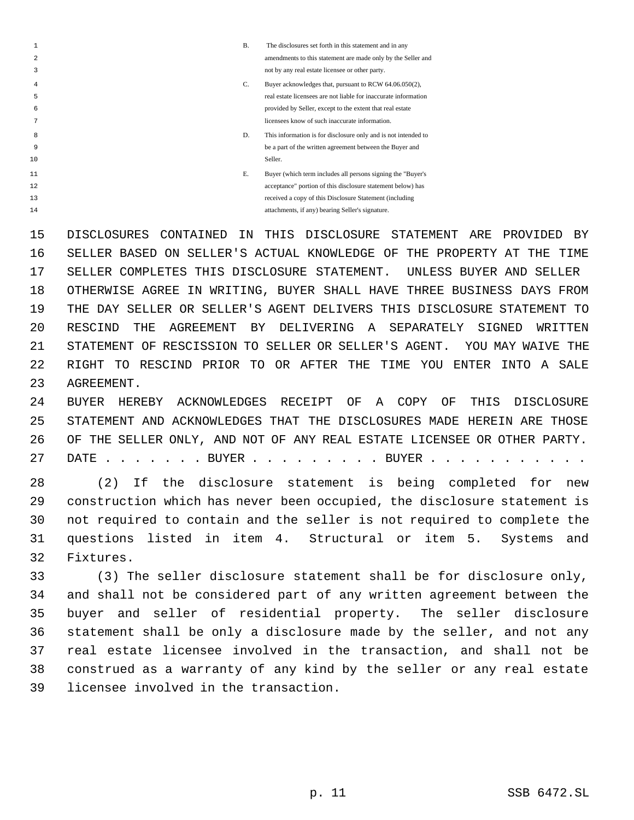| 1  | <b>B.</b> | The disclosures set forth in this statement and in any          |
|----|-----------|-----------------------------------------------------------------|
| 2  |           | amendments to this statement are made only by the Seller and    |
| 3  |           | not by any real estate licensee or other party.                 |
| 4  | C.        | Buyer acknowledges that, pursuant to RCW 64.06.050(2),          |
| 5  |           | real estate licensees are not liable for inaccurate information |
| 6  |           | provided by Seller, except to the extent that real estate       |
| 7  |           | licensees know of such inaccurate information.                  |
| 8  | D.        | This information is for disclosure only and is not intended to  |
| 9  |           | be a part of the written agreement between the Buyer and        |
| 10 |           | Seller.                                                         |
| 11 | Е.        | Buyer (which term includes all persons signing the "Buyer's     |
| 12 |           | acceptance" portion of this disclosure statement below) has     |
| 13 |           | received a copy of this Disclosure Statement (including         |
| 14 |           | attachments, if any) bearing Seller's signature.                |
|    |           |                                                                 |

 DISCLOSURES CONTAINED IN THIS DISCLOSURE STATEMENT ARE PROVIDED BY SELLER BASED ON SELLER'S ACTUAL KNOWLEDGE OF THE PROPERTY AT THE TIME SELLER COMPLETES THIS DISCLOSURE STATEMENT. UNLESS BUYER AND SELLER OTHERWISE AGREE IN WRITING, BUYER SHALL HAVE THREE BUSINESS DAYS FROM THE DAY SELLER OR SELLER'S AGENT DELIVERS THIS DISCLOSURE STATEMENT TO RESCIND THE AGREEMENT BY DELIVERING A SEPARATELY SIGNED WRITTEN STATEMENT OF RESCISSION TO SELLER OR SELLER'S AGENT. YOU MAY WAIVE THE RIGHT TO RESCIND PRIOR TO OR AFTER THE TIME YOU ENTER INTO A SALE AGREEMENT.

 BUYER HEREBY ACKNOWLEDGES RECEIPT OF A COPY OF THIS DISCLOSURE STATEMENT AND ACKNOWLEDGES THAT THE DISCLOSURES MADE HEREIN ARE THOSE OF THE SELLER ONLY, AND NOT OF ANY REAL ESTATE LICENSEE OR OTHER PARTY. 27 DATE . . . . . . BUYER . . . . . . . . BUYER . . . . .

 (2) If the disclosure statement is being completed for new construction which has never been occupied, the disclosure statement is not required to contain and the seller is not required to complete the questions listed in item 4. Structural or item 5. Systems and Fixtures.

 (3) The seller disclosure statement shall be for disclosure only, and shall not be considered part of any written agreement between the buyer and seller of residential property. The seller disclosure statement shall be only a disclosure made by the seller, and not any real estate licensee involved in the transaction, and shall not be construed as a warranty of any kind by the seller or any real estate licensee involved in the transaction.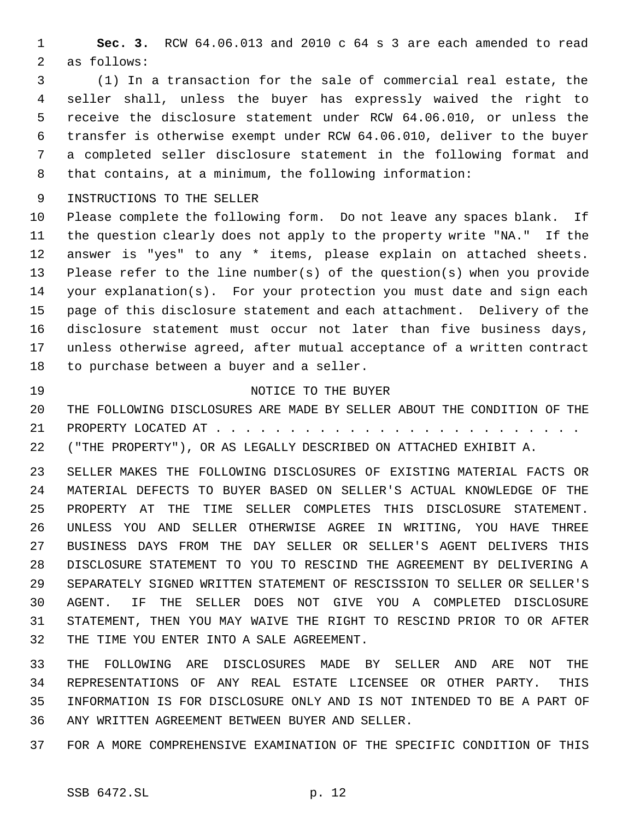**Sec. 3.** RCW 64.06.013 and 2010 c 64 s 3 are each amended to read as follows:

 (1) In a transaction for the sale of commercial real estate, the seller shall, unless the buyer has expressly waived the right to receive the disclosure statement under RCW 64.06.010, or unless the transfer is otherwise exempt under RCW 64.06.010, deliver to the buyer a completed seller disclosure statement in the following format and that contains, at a minimum, the following information:

INSTRUCTIONS TO THE SELLER

 Please complete the following form. Do not leave any spaces blank. If the question clearly does not apply to the property write "NA." If the answer is "yes" to any \* items, please explain on attached sheets. Please refer to the line number(s) of the question(s) when you provide your explanation(s). For your protection you must date and sign each page of this disclosure statement and each attachment. Delivery of the disclosure statement must occur not later than five business days, unless otherwise agreed, after mutual acceptance of a written contract to purchase between a buyer and a seller.

## NOTICE TO THE BUYER

 THE FOLLOWING DISCLOSURES ARE MADE BY SELLER ABOUT THE CONDITION OF THE PROPERTY LOCATED AT . . . . . . . . . . . . . . . . . . . . . . . . .

("THE PROPERTY"), OR AS LEGALLY DESCRIBED ON ATTACHED EXHIBIT A.

 SELLER MAKES THE FOLLOWING DISCLOSURES OF EXISTING MATERIAL FACTS OR MATERIAL DEFECTS TO BUYER BASED ON SELLER'S ACTUAL KNOWLEDGE OF THE PROPERTY AT THE TIME SELLER COMPLETES THIS DISCLOSURE STATEMENT. UNLESS YOU AND SELLER OTHERWISE AGREE IN WRITING, YOU HAVE THREE BUSINESS DAYS FROM THE DAY SELLER OR SELLER'S AGENT DELIVERS THIS DISCLOSURE STATEMENT TO YOU TO RESCIND THE AGREEMENT BY DELIVERING A SEPARATELY SIGNED WRITTEN STATEMENT OF RESCISSION TO SELLER OR SELLER'S AGENT. IF THE SELLER DOES NOT GIVE YOU A COMPLETED DISCLOSURE STATEMENT, THEN YOU MAY WAIVE THE RIGHT TO RESCIND PRIOR TO OR AFTER THE TIME YOU ENTER INTO A SALE AGREEMENT.

 THE FOLLOWING ARE DISCLOSURES MADE BY SELLER AND ARE NOT THE REPRESENTATIONS OF ANY REAL ESTATE LICENSEE OR OTHER PARTY. THIS INFORMATION IS FOR DISCLOSURE ONLY AND IS NOT INTENDED TO BE A PART OF ANY WRITTEN AGREEMENT BETWEEN BUYER AND SELLER.

FOR A MORE COMPREHENSIVE EXAMINATION OF THE SPECIFIC CONDITION OF THIS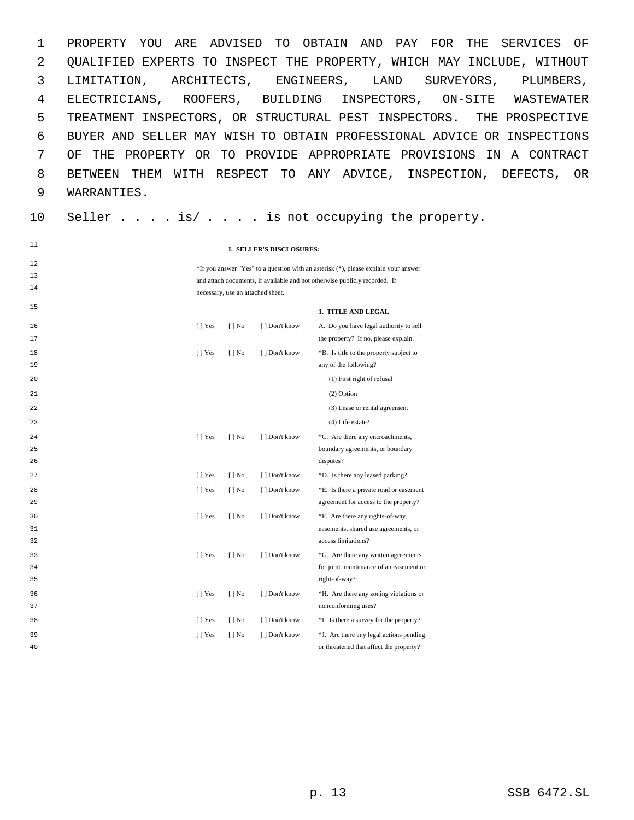PROPERTY YOU ARE ADVISED TO OBTAIN AND PAY FOR THE SERVICES OF QUALIFIED EXPERTS TO INSPECT THE PROPERTY, WHICH MAY INCLUDE, WITHOUT LIMITATION, ARCHITECTS, ENGINEERS, LAND SURVEYORS, PLUMBERS, ELECTRICIANS, ROOFERS, BUILDING INSPECTORS, ON-SITE WASTEWATER TREATMENT INSPECTORS, OR STRUCTURAL PEST INSPECTORS. THE PROSPECTIVE BUYER AND SELLER MAY WISH TO OBTAIN PROFESSIONAL ADVICE OR INSPECTIONS OF THE PROPERTY OR TO PROVIDE APPROPRIATE PROVISIONS IN A CONTRACT BETWEEN THEM WITH RESPECT TO ANY ADVICE, INSPECTION, DEFECTS, OR WARRANTIES.

10 Seller . . . . is/ . . . . is not occupying the property.

| 11 |                                                                            |                                   | <b>I. SELLER'S DISCLOSURES:</b> |                                                                                     |  |  |  |  |
|----|----------------------------------------------------------------------------|-----------------------------------|---------------------------------|-------------------------------------------------------------------------------------|--|--|--|--|
| 12 |                                                                            |                                   |                                 | *If you answer "Yes" to a question with an asterisk (*), please explain your answer |  |  |  |  |
| 13 | and attach documents, if available and not otherwise publicly recorded. If |                                   |                                 |                                                                                     |  |  |  |  |
| 14 |                                                                            | necessary, use an attached sheet. |                                 |                                                                                     |  |  |  |  |
| 15 |                                                                            |                                   |                                 | 1. TITLE AND LEGAL                                                                  |  |  |  |  |
| 16 | $[$   Yes                                                                  | $[$   No                          | [ ] Don't know                  | A. Do you have legal authority to sell                                              |  |  |  |  |
| 17 |                                                                            |                                   |                                 | the property? If no, please explain.                                                |  |  |  |  |
| 18 | $[$   Yes                                                                  | $[$   No                          | [ ] Don't know                  | *B. Is title to the property subject to                                             |  |  |  |  |
| 19 |                                                                            |                                   |                                 | any of the following?                                                               |  |  |  |  |
| 20 |                                                                            |                                   |                                 | (1) First right of refusal                                                          |  |  |  |  |
| 21 |                                                                            |                                   |                                 | (2) Option                                                                          |  |  |  |  |
| 22 |                                                                            |                                   |                                 | (3) Lease or rental agreement                                                       |  |  |  |  |
| 23 |                                                                            |                                   |                                 | $(4)$ Life estate?                                                                  |  |  |  |  |
| 24 | $[ ]$ Yes                                                                  | $[$   No                          | [] Don't know                   | *C. Are there any encroachments,                                                    |  |  |  |  |
| 25 |                                                                            |                                   |                                 | boundary agreements, or boundary                                                    |  |  |  |  |
| 26 |                                                                            |                                   |                                 | disputes?                                                                           |  |  |  |  |
| 27 | $[$   Yes                                                                  | $[$   No                          | [] Don't know                   | *D. Is there any leased parking?                                                    |  |  |  |  |
| 28 | $[$   Yes                                                                  | $[$   No                          | [] Don't know                   | *E. Is there a private road or easement                                             |  |  |  |  |
| 29 |                                                                            |                                   |                                 | agreement for access to the property?                                               |  |  |  |  |
| 30 | $[$   Yes                                                                  | $[$   No                          | [] Don't know                   | *F. Are there any rights-of-way,                                                    |  |  |  |  |
| 31 |                                                                            |                                   |                                 | easements, shared use agreements, or                                                |  |  |  |  |
| 32 |                                                                            |                                   |                                 | access limitations?                                                                 |  |  |  |  |
| 33 | $[$   Yes                                                                  | $[$   No                          | [] Don't know                   | *G. Are there any written agreements                                                |  |  |  |  |
| 34 |                                                                            |                                   |                                 | for joint maintenance of an easement or                                             |  |  |  |  |
| 35 |                                                                            |                                   |                                 | right-of-way?                                                                       |  |  |  |  |
| 36 | $[$   Yes                                                                  | $[$   No                          | [] Don't know                   | *H. Are there any zoning violations or                                              |  |  |  |  |
| 37 |                                                                            |                                   |                                 | nonconforming uses?                                                                 |  |  |  |  |
| 38 | [] Yes                                                                     | $[$   No                          | [ ] Don't know                  | *I. Is there a survey for the property?                                             |  |  |  |  |
| 39 | $[$   Yes                                                                  | $[$   No                          | [] Don't know                   | *J. Are there any legal actions pending                                             |  |  |  |  |
| 40 |                                                                            |                                   |                                 | or threatened that affect the property?                                             |  |  |  |  |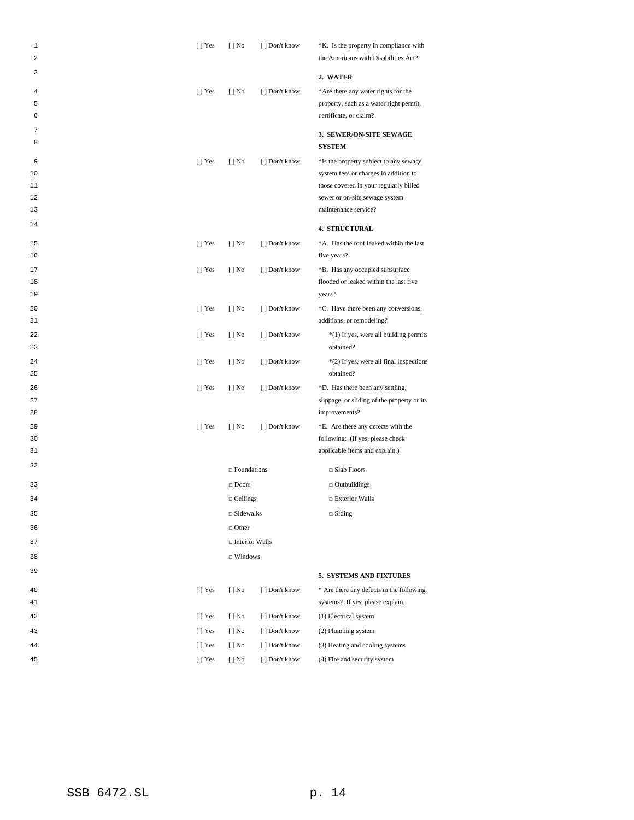| 1<br>2                    | $[ ]$ Yes | $[ ]$ No                 | [] Don't know  | *K. Is the property in compliance with<br>the Americans with Disabilities Act?                                                                                                      |
|---------------------------|-----------|--------------------------|----------------|-------------------------------------------------------------------------------------------------------------------------------------------------------------------------------------|
| 3                         |           |                          |                | 2. WATER                                                                                                                                                                            |
| 4<br>5<br>6               | $[ ]$ Yes | $[$   No                 | [ ] Don't know | *Are there any water rights for the<br>property, such as a water right permit,<br>certificate, or claim?                                                                            |
| 7<br>8                    |           |                          |                | 3. SEWER/ON-SITE SEWAGE<br><b>SYSTEM</b>                                                                                                                                            |
| 9<br>10<br>11<br>12<br>13 | $[ ]$ Yes | $[ ]$ No                 | [ ] Don't know | *Is the property subject to any sewage<br>system fees or charges in addition to<br>those covered in your regularly billed<br>sewer or on-site sewage system<br>maintenance service? |
| 14                        |           |                          |                | <b>4. STRUCTURAL</b>                                                                                                                                                                |
| 15<br>16                  | $[ ]$ Yes | $[ ]$ No                 | [ ] Don't know | *A. Has the roof leaked within the last<br>five years?                                                                                                                              |
| 17<br>18<br>19            | $[$   Yes | $[ ]$ No                 | [ ] Don't know | *B. Has any occupied subsurface<br>flooded or leaked within the last five<br>years?                                                                                                 |
| 20<br>21                  | $[ ]$ Yes | $[$   No                 | [] Don't know  | *C. Have there been any conversions,<br>additions, or remodeling?                                                                                                                   |
| 22<br>23                  | $[ ]$ Yes | $[$   No                 | [ ] Don't know | *(1) If yes, were all building permits<br>obtained?                                                                                                                                 |
| 24<br>25                  | $[ ]$ Yes | $[ ]$ No                 | [ ] Don't know | *(2) If yes, were all final inspections<br>obtained?                                                                                                                                |
| 26<br>27<br>28            | $[ ]$ Yes | $[ ]$ No                 | [ ] Don't know | *D. Has there been any settling,<br>slippage, or sliding of the property or its<br>improvements?                                                                                    |
| 29<br>30<br>31            | $[ ]$ Yes | $[$   No                 | [ ] Don't know | *E. Are there any defects with the<br>following: (If yes, please check<br>applicable items and explain.)                                                                            |
| 32                        |           | $\Box$ Foundations       |                | $\Box$ Slab Floors                                                                                                                                                                  |
| 33                        |           | $\Box$ Doors             |                | $\Box$ Outbuildings                                                                                                                                                                 |
| 34                        |           | $\Box$ Ceilings          |                | $\Box$ Exterior Walls                                                                                                                                                               |
| 35                        |           | $\Box$ Sidewalks         |                | $\Box$ Siding                                                                                                                                                                       |
| 36                        |           | $\Box$ Other             |                |                                                                                                                                                                                     |
| 37                        |           | $\square$ Interior Walls |                |                                                                                                                                                                                     |
| 38                        |           | $\Box$ Windows           |                |                                                                                                                                                                                     |
| 39                        |           |                          |                | 5. SYSTEMS AND FIXTURES                                                                                                                                                             |
| 40<br>41                  | [ ] Yes   | $[ ]$ No                 | [ ] Don't know | * Are there any defects in the following<br>systems? If yes, please explain.                                                                                                        |
| 42                        | [ ] Yes   | $[ ]$ No                 | [ ] Don't know | (1) Electrical system                                                                                                                                                               |
| 43                        | [ ] Yes   | $[ ]$ No                 | [ ] Don't know | (2) Plumbing system                                                                                                                                                                 |
| 44                        | [ ] Yes   | $[ ]$ No                 | [ ] Don't know | (3) Heating and cooling systems                                                                                                                                                     |
| 45                        | [ ] Yes   | $[ ]$ No                 | [ ] Don't know | (4) Fire and security system                                                                                                                                                        |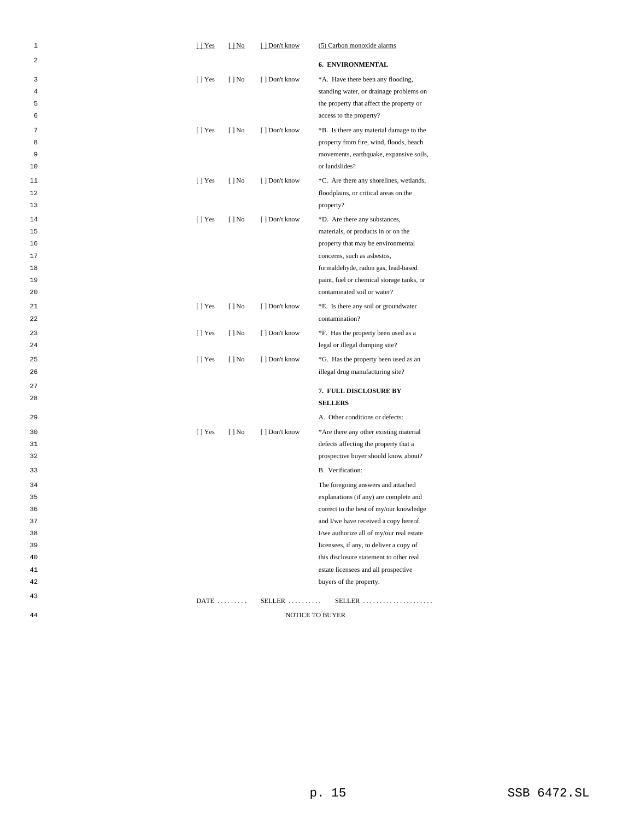| 1                                      | $\Box$ Yes | $\Box$ No                | [] Don't know  | (5) Carbon monoxide alarms                                                                                                                                                                                                                                   |
|----------------------------------------|------------|--------------------------|----------------|--------------------------------------------------------------------------------------------------------------------------------------------------------------------------------------------------------------------------------------------------------------|
| 2                                      |            |                          |                | 6. ENVIRONMENTAL                                                                                                                                                                                                                                             |
| 3<br>4<br>5<br>6                       | $[$   Yes  | $[$   No                 | [ ] Don't know | *A. Have there been any flooding,<br>standing water, or drainage problems on<br>the property that affect the property or<br>access to the property?                                                                                                          |
| 7<br>8<br>9<br>10                      | [] Yes     | $\lceil \cdot \rceil$ No | [ ] Don't know | *B. Is there any material damage to the<br>property from fire, wind, floods, beach<br>movements, earthquake, expansive soils,<br>or landslides?                                                                                                              |
| 11<br>12<br>13                         | $[ ]$ Yes  | $[ ]$ No                 | [ ] Don't know | *C. Are there any shorelines, wetlands,<br>floodplains, or critical areas on the<br>property?                                                                                                                                                                |
| 14<br>15<br>16<br>17<br>18<br>19<br>20 | $[ ]$ Yes  | $[ ]$ No                 | [ ] Don't know | *D. Are there any substances,<br>materials, or products in or on the<br>property that may be environmental<br>concerns, such as asbestos,<br>formaldehyde, radon gas, lead-based<br>paint, fuel or chemical storage tanks, or<br>contaminated soil or water? |
| 21<br>22                               | $[$   Yes  | $[ ]$ No                 | [ ] Don't know | *E. Is there any soil or groundwater<br>contamination?                                                                                                                                                                                                       |
| 23<br>24                               | $[ ]$ Yes  | $[ ]$ No                 | [] Don't know  | *F. Has the property been used as a<br>legal or illegal dumping site?                                                                                                                                                                                        |
| 25<br>26                               | $[ ]$ Yes  | $[ ]$ No                 | [ ] Don't know | *G. Has the property been used as an<br>illegal drug manufacturing site?                                                                                                                                                                                     |
| 27<br>28                               |            |                          |                | 7. FULL DISCLOSURE BY<br><b>SELLERS</b>                                                                                                                                                                                                                      |
| 29                                     |            |                          |                | A. Other conditions or defects:                                                                                                                                                                                                                              |
| 30<br>31                               | $[ ]$ Yes  | $\lceil \cdot \rceil$ No | [] Don't know  | *Are there any other existing material<br>defects affecting the property that a                                                                                                                                                                              |
| 32                                     |            |                          |                | prospective buyer should know about?<br>B. Verification:                                                                                                                                                                                                     |
| 33                                     |            |                          |                |                                                                                                                                                                                                                                                              |
| 34<br>35                               |            |                          |                | The foregoing answers and attached<br>explanations (if any) are complete and                                                                                                                                                                                 |
| 36                                     |            |                          |                | correct to the best of my/our knowledge                                                                                                                                                                                                                      |
| 37                                     |            |                          |                | and I/we have received a copy hereof.                                                                                                                                                                                                                        |
| 38                                     |            |                          |                | I/we authorize all of my/our real estate                                                                                                                                                                                                                     |
| 39                                     |            |                          |                | licensees, if any, to deliver a copy of                                                                                                                                                                                                                      |
| 40                                     |            |                          |                | this disclosure statement to other real                                                                                                                                                                                                                      |
| 41                                     |            |                          |                | estate licensees and all prospective                                                                                                                                                                                                                         |
| 42                                     |            |                          |                | buyers of the property.                                                                                                                                                                                                                                      |
| 43                                     | $DATE$     |                          | $SELLER$       | SELLER $\dots\dots\dots\dots\dots\dots\dots\dots$                                                                                                                                                                                                            |
| 44                                     |            |                          |                | <b>NOTICE TO BUYER</b>                                                                                                                                                                                                                                       |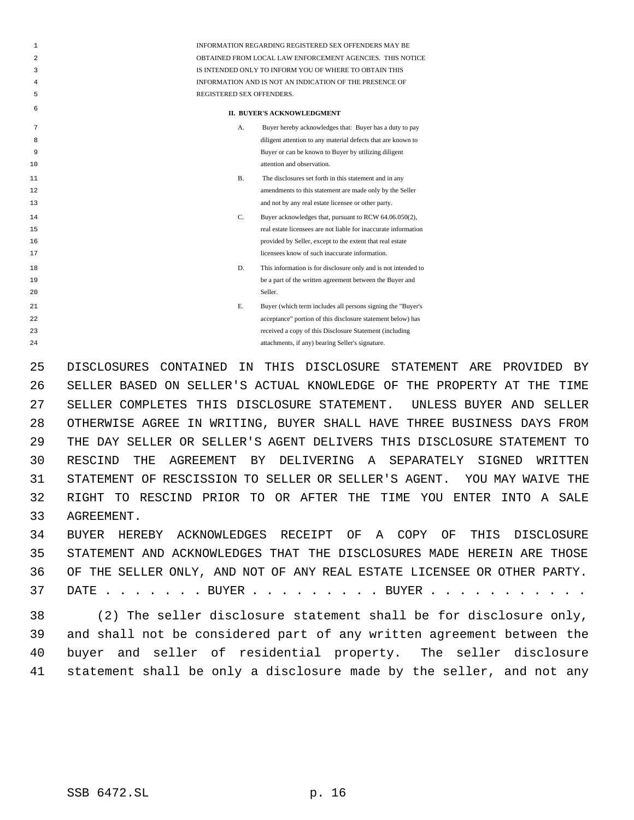| 1              | INFORMATION REGARDING REGISTERED SEX OFFENDERS MAY BE                    |
|----------------|--------------------------------------------------------------------------|
| $\mathfrak{D}$ | OBTAINED FROM LOCAL LAW ENFORCEMENT AGENCIES. THIS NOTICE                |
| 3              | IS INTENDED ONLY TO INFORM YOU OF WHERE TO OBTAIN THIS                   |
| 4              | INFORMATION AND IS NOT AN INDICATION OF THE PRESENCE OF                  |
| 5              | REGISTERED SEX OFFENDERS.                                                |
| 6              | <b>II. BUYER'S ACKNOWLEDGMENT</b>                                        |
| 7              | Buyer hereby acknowledges that: Buyer has a duty to pay<br>A.            |
| 8              | diligent attention to any material defects that are known to             |
| 9              | Buyer or can be known to Buyer by utilizing diligent                     |
| 10             | attention and observation.                                               |
| 11             | B <sub>1</sub><br>The disclosures set forth in this statement and in any |
| 12             | amendments to this statement are made only by the Seller                 |
|                |                                                                          |
| 13             | and not by any real estate licensee or other party.                      |
| 14             | C.<br>Buyer acknowledges that, pursuant to RCW 64.06.050(2),             |
| 15             | real estate licensees are not liable for inaccurate information          |
| 16             | provided by Seller, except to the extent that real estate                |
| 17             | licensees know of such inaccurate information.                           |
| 18             | This information is for disclosure only and is not intended to<br>D.     |
| 19             | be a part of the written agreement between the Buyer and                 |
| 20             | Seller.                                                                  |
| 21             | Buyer (which term includes all persons signing the "Buyer's<br>Е.        |
| 22             | acceptance" portion of this disclosure statement below) has              |
| 23             | received a copy of this Disclosure Statement (including                  |
| 24             | attachments, if any) bearing Seller's signature.                         |
|                |                                                                          |

 DISCLOSURES CONTAINED IN THIS DISCLOSURE STATEMENT ARE PROVIDED BY SELLER BASED ON SELLER'S ACTUAL KNOWLEDGE OF THE PROPERTY AT THE TIME SELLER COMPLETES THIS DISCLOSURE STATEMENT. UNLESS BUYER AND SELLER OTHERWISE AGREE IN WRITING, BUYER SHALL HAVE THREE BUSINESS DAYS FROM THE DAY SELLER OR SELLER'S AGENT DELIVERS THIS DISCLOSURE STATEMENT TO RESCIND THE AGREEMENT BY DELIVERING A SEPARATELY SIGNED WRITTEN STATEMENT OF RESCISSION TO SELLER OR SELLER'S AGENT. YOU MAY WAIVE THE RIGHT TO RESCIND PRIOR TO OR AFTER THE TIME YOU ENTER INTO A SALE AGREEMENT.

 BUYER HEREBY ACKNOWLEDGES RECEIPT OF A COPY OF THIS DISCLOSURE STATEMENT AND ACKNOWLEDGES THAT THE DISCLOSURES MADE HEREIN ARE THOSE OF THE SELLER ONLY, AND NOT OF ANY REAL ESTATE LICENSEE OR OTHER PARTY. DATE . . . . . . . BUYER . . . . . . . . . BUYER . . . . . . . . . . .

 (2) The seller disclosure statement shall be for disclosure only, and shall not be considered part of any written agreement between the buyer and seller of residential property. The seller disclosure statement shall be only a disclosure made by the seller, and not any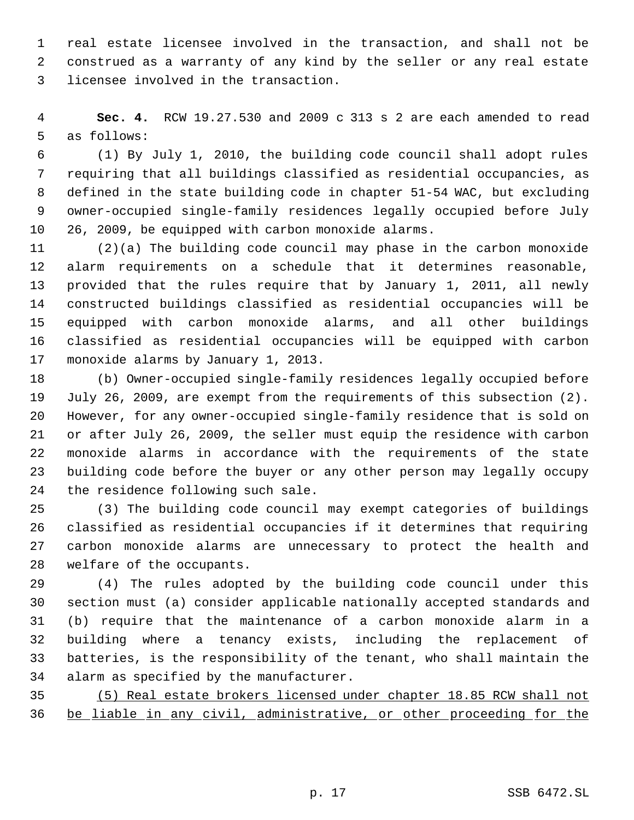real estate licensee involved in the transaction, and shall not be construed as a warranty of any kind by the seller or any real estate licensee involved in the transaction.

 **Sec. 4.** RCW 19.27.530 and 2009 c 313 s 2 are each amended to read as follows:

 (1) By July 1, 2010, the building code council shall adopt rules requiring that all buildings classified as residential occupancies, as defined in the state building code in chapter 51-54 WAC, but excluding owner-occupied single-family residences legally occupied before July 26, 2009, be equipped with carbon monoxide alarms.

 (2)(a) The building code council may phase in the carbon monoxide alarm requirements on a schedule that it determines reasonable, provided that the rules require that by January 1, 2011, all newly constructed buildings classified as residential occupancies will be equipped with carbon monoxide alarms, and all other buildings classified as residential occupancies will be equipped with carbon monoxide alarms by January 1, 2013.

 (b) Owner-occupied single-family residences legally occupied before July 26, 2009, are exempt from the requirements of this subsection (2). However, for any owner-occupied single-family residence that is sold on or after July 26, 2009, the seller must equip the residence with carbon monoxide alarms in accordance with the requirements of the state building code before the buyer or any other person may legally occupy the residence following such sale.

 (3) The building code council may exempt categories of buildings classified as residential occupancies if it determines that requiring carbon monoxide alarms are unnecessary to protect the health and welfare of the occupants.

 (4) The rules adopted by the building code council under this section must (a) consider applicable nationally accepted standards and (b) require that the maintenance of a carbon monoxide alarm in a building where a tenancy exists, including the replacement of batteries, is the responsibility of the tenant, who shall maintain the alarm as specified by the manufacturer.

 (5) Real estate brokers licensed under chapter 18.85 RCW shall not be liable in any civil, administrative, or other proceeding for the